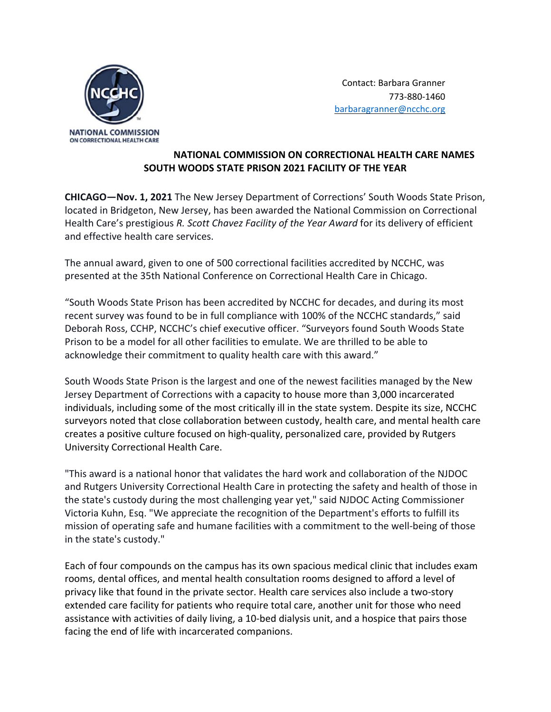

 Contact: Barbara Granner 773‐880‐1460 barbaragranner@ncchc.org

## **NATIONAL COMMISSION ON CORRECTIONAL HEALTH CARE NAMES SOUTH WOODS STATE PRISON 2021 FACILITY OF THE YEAR**

**CHICAGO—Nov. 1, 2021** The New Jersey Department of Corrections' South Woods State Prison, located in Bridgeton, New Jersey, has been awarded the National Commission on Correctional Health Care's prestigious *R. Scott Chavez Facility of the Year Award* for its delivery of efficient and effective health care services.

The annual award, given to one of 500 correctional facilities accredited by NCCHC, was presented at the 35th National Conference on Correctional Health Care in Chicago.

"South Woods State Prison has been accredited by NCCHC for decades, and during its most recent survey was found to be in full compliance with 100% of the NCCHC standards," said Deborah Ross, CCHP, NCCHC's chief executive officer. "Surveyors found South Woods State Prison to be a model for all other facilities to emulate. We are thrilled to be able to acknowledge their commitment to quality health care with this award."

South Woods State Prison is the largest and one of the newest facilities managed by the New Jersey Department of Corrections with a capacity to house more than 3,000 incarcerated individuals, including some of the most critically ill in the state system. Despite its size, NCCHC surveyors noted that close collaboration between custody, health care, and mental health care creates a positive culture focused on high‐quality, personalized care, provided by Rutgers University Correctional Health Care.

"This award is a national honor that validates the hard work and collaboration of the NJDOC and Rutgers University Correctional Health Care in protecting the safety and health of those in the state's custody during the most challenging year yet," said NJDOC Acting Commissioner Victoria Kuhn, Esq. "We appreciate the recognition of the Department's efforts to fulfill its mission of operating safe and humane facilities with a commitment to the well‐being of those in the state's custody."

Each of four compounds on the campus has its own spacious medical clinic that includes exam rooms, dental offices, and mental health consultation rooms designed to afford a level of privacy like that found in the private sector. Health care services also include a two‐story extended care facility for patients who require total care, another unit for those who need assistance with activities of daily living, a 10‐bed dialysis unit, and a hospice that pairs those facing the end of life with incarcerated companions.